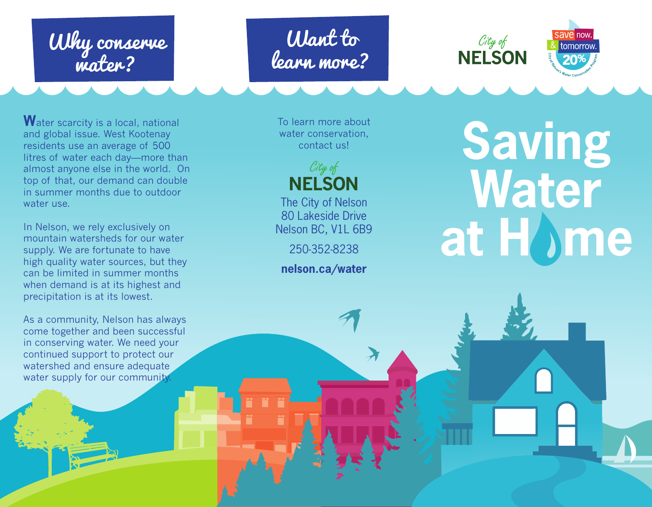# Why conserve water?

## Want to learn more?



Water scarcity is a local, national and global issue. West Kootenay residents use an average of 500 litres of water each day—more than almost anyone else in the world. On top of that, our demand can double in summer months due to outdoor water use.

In Nelson, we rely exclusively on mountain watersheds for our water supply. We are fortunate to have high quality water sources, but they can be limited in summer months when demand is at its highest and precipitation is at its lowest.

As a community, Nelson has always come together and been successful in conserving water. We need your continued support to protect our watershed and ensure adequate water supply for our community.

To learn more about water conservation, contact us!



The City of Nelson 80 Lakeside Drive Nelson BC, V1L 6B9

250-352-8238

**nelson.ca/water**

**Saving Water at H me**